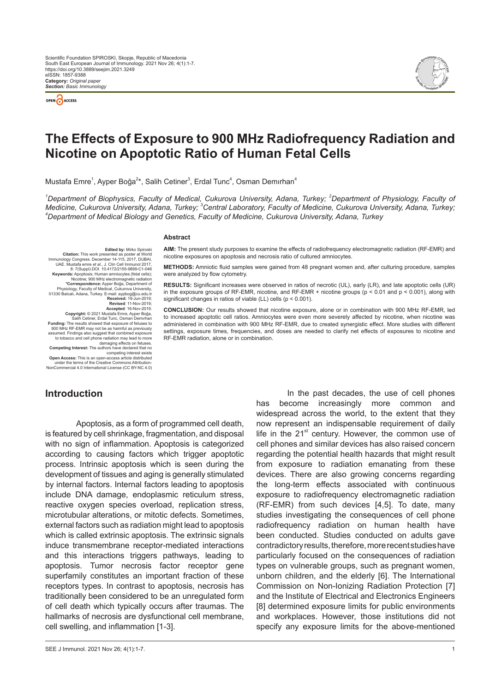



# **The Effects of Exposure to 900 MHz Radiofrequency Radiation and Nicotine on Apoptotic Ratio of Human Fetal Cells**

Mustafa Emre<sup>1</sup>, Ayper Boğa<sup>2\*</sup>, Salih Cetiner<sup>3</sup>, Erdal Tunc<sup>4</sup>, Osman Demırhan<sup>4</sup>

<sup>1</sup>Department of Biophysics, Faculty of Medical, Cukurova University, Adana, Turkey; <sup>2</sup>Department of Physiology, Faculty of *Medicine, Cukurova University, Adana, Turkey; <sup>3</sup>Central Laboratory, Faculty of Medicine, Cukurova University, Adana, Turkey;<br><sup>4</sup>Denartment of Medical Biology and Conotice, Faculty of Medicine, Cukurova University, Adana, Department of Medical Biology and Genetics, Faculty of Medicine, Cukurova University, Adana, Turkey*

#### **Abstract**

**AIM:** The present study purposes to examine the effects of radiofrequency electromagnetic radiation (RF-EMR) and nicotine exposures on apoptosis and necrosis ratio of cultured amniocytes.

**Citation:** This work presented as poster at World Immunology Congress. December 14-115, 2017, DUBAI, UAE. Mustafa emre *et al.*, J. Clin Cell Immunol 2017, 8: 7(Suppl).DOI. 10.4172/2155-9899-C1-046<br> **Keywords:** Apoptosis; Human amniocytes (fetal cells);<br>
Nicotine; 900 MHz electromagnetic radiation<br> **Correspondence:** Ayper Boğa, Department of<br>
Physiology, Faculty of Medical, C **Received: 19-Jun-2019;**<br>**Revised: 11-Nov-2019** Revised: 11-Nov-2019;<br>Recepted: 16-Nov-2019;<br>Copyright: © 2021 Mustafa Emre, Ayper Boğa,<br>Salih Cetiner, Erdal Tunc, Osman Demırhan<br>Funding: The results showed that exposure of fetuses to<br>900 MHz RF-EMR may not be as harmfu assumed. Findings also suggest that combined exposure to tobacco and cell phone radiation may lead to more damaging effects on fetuses.<br>**Competing Interest:** The authors have declared that no<br>competing interest exists

**Open Access:** This is an open-access article distributied<br>under the terms of the Creative Commons Attribution-<br>NonCommercial 4.0 International License (CC BY-NC 4.0)

**Edited by:** Mirko Spiroski

**METHODS:** Amniotic fluid samples were gained from 48 pregnant women and, after culturing procedure, samples were analyzed by flow cytometry.

**RESULTS:** Significant increases were observed in ratios of necrotic (UL), early (LR), and late apoptotic cells (UR) in the exposure groups of RF-EMR, nicotine, and RF-EMR + nicotine groups (p < 0.01 and p < 0.001), along with significant changes in ratios of viable (LL) cells (p < 0.001).

**CONCLUSION:** Our results showed that nicotine exposure, alone or in combination with 900 MHz RF-EMR, led to increased apoptotic cell ratios. Amniocytes were even more severely affected by nicotine, when nicotine was administered in combination with 900 MHz RF-EMR, due to created synergistic effect. More studies with different settings, exposure times, frequencies, and doses are needed to clarify net effects of exposures to nicotine and RF-EMR radiation, alone or in combination.

## **Introduction**

Apoptosis, as a form of programmed cell death, is featured by cell shrinkage, fragmentation, and disposal with no sign of inflammation. Apoptosis is categorized according to causing factors which trigger apoptotic process. Intrinsic apoptosis which is seen during the development of tissues and aging is generally stimulated by internal factors. Internal factors leading to apoptosis include DNA damage, endoplasmic reticulum stress, reactive oxygen species overload, replication stress, microtubular alterations, or mitotic defects. Sometimes, external factors such as radiation might lead to apoptosis which is called extrinsic apoptosis. The extrinsic signals induce transmembrane receptor-mediated interactions and this interactions triggers pathways, leading to apoptosis. Tumor necrosis factor receptor gene superfamily constitutes an important fraction of these receptors types. In contrast to apoptosis, necrosis has traditionally been considered to be an unregulated form of cell death which typically occurs after traumas. The hallmarks of necrosis are dysfunctional cell membrane, cell swelling, and inflammation [1-3].

has become increasingly more common and widespread across the world, to the extent that they now represent an indispensable requirement of daily life in the  $21<sup>st</sup>$  century. However, the common use of cell phones and similar devices has also raised concern regarding the potential health hazards that might result from exposure to radiation emanating from these devices. There are also growing concerns regarding the long-term effects associated with continuous exposure to radiofrequency electromagnetic radiation (RF-EMR) from such devices [4,5]. To date, many studies investigating the consequences of cell phone radiofrequency radiation on human health have been conducted. Studies conducted on adults gave contradictory results, therefore, more recent studies have particularly focused on the consequences of radiation types on vulnerable groups, such as pregnant women, unborn children, and the elderly [6]. The International Commission on Non-Ionizing Radiation Protection [7] and the Institute of Electrical and Electronics Engineers [8] determined exposure limits for public environments and workplaces. However, those institutions did not specify any exposure limits for the above-mentioned

In the past decades, the use of cell phones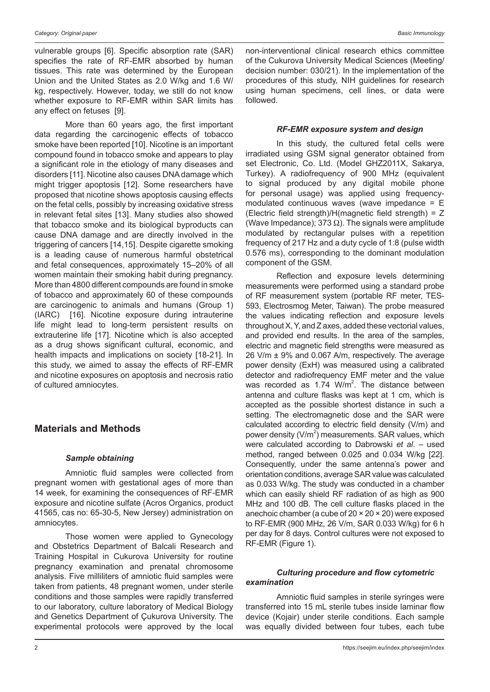vulnerable groups [6]. Specific absorption rate (SAR) specifies the rate of RF-EMR absorbed by human tissues. This rate was determined by the European Union and the United States as 2.0 W/kg and 1.6 W/ kg, respectively. However, today, we still do not know whether exposure to RF-EMR within SAR limits has any effect on fetuses [9].

More than 60 years ago, the first important data regarding the carcinogenic effects of tobacco smoke have been reported [10]. Nicotine is an important compound found in tobacco smoke and appears to play a significant role in the etiology of many diseases and disorders [11]. Nicotine also causes DNA damage which might trigger apoptosis [12]. Some researchers have proposed that nicotine shows apoptosis causing effects on the fetal cells, possibly by increasing oxidative stress in relevant fetal sites [13]. Many studies also showed that tobacco smoke and its biological byproducts can cause DNA damage and are directly involved in the triggering of cancers [14,15]. Despite cigarette smoking is a leading cause of numerous harmful obstetrical and fetal consequences, approximately 15–20% of all women maintain their smoking habit during pregnancy. More than 4800 different compounds are found in smoke of tobacco and approximately 60 of these compounds are carcinogenic to animals and humans (Group 1) (IARC) [16]. Nicotine exposure during intrauterine life might lead to long-term persistent results on extrauterine life [17]. Nicotine which is also accepted as a drug shows significant cultural, economic, and health impacts and implications on society [18-21]. In this study, we aimed to assay the effects of RF-EMR and nicotine exposures on apoptosis and necrosis ratio of cultured amniocytes.

## **Materials and Methods**

### *Sample obtaining*

Amniotic fluid samples were collected from pregnant women with gestational ages of more than 14 week, for examining the consequences of RF-EMR exposure and nicotine sulfate (Acros Organics, product 41565, cas no: 65-30-5, New Jersey) administration on amniocytes.

Those women were applied to Gynecology and Obstetrics Department of Balcali Research and Training Hospital in Cukurova University for routine pregnancy examination and prenatal chromosome analysis. Five milliliters of amniotic fluid samples were taken from patients, 48 pregnant women, under sterile conditions and those samples were rapidly transferred to our laboratory, culture laboratory of Medical Biology and Genetics Department of Çukurova University. The experimental protocols were approved by the local non-interventional clinical research ethics committee of the Cukurova University Medical Sciences (Meeting/ decision number: 030/21). In the implementation of the procedures of this study, NIH guidelines for research using human specimens, cell lines, or data were followed.

#### *RF-EMR exposure system and design*

In this study, the cultured fetal cells were irradiated using GSM signal generator obtained from set Electronic, Co. Ltd. (Model GHZ2011X, Sakarya, Turkey). A radiofrequency of 900 MHz (equivalent to signal produced by any digital mobile phone for personal usage) was applied using frequencymodulated continuous waves (wave impedance  $=$   $E$ (Electric field strength)/H(magnetic field strength) = Z (Wave Impedance); 373  $\Omega$ ). The signals were amplitude modulated by rectangular pulses with a repetition frequency of 217 Hz and a duty cycle of 1:8 (pulse width 0.576 ms), corresponding to the dominant modulation component of the GSM.

Reflection and exposure levels determining measurements were performed using a standard probe of RF measurement system (portable RF meter, TES-593, Electrosmog Meter, Taiwan). The probe measured the values indicating reflection and exposure levels throughout X, Y, and Z axes, added these vectorial values, and provided end results. In the area of the samples, electric and magnetic field strengths were measured as 26 V/m ± 9% and 0.067 A/m, respectively. The average power density (ExH) was measured using a calibrated detector and radiofrequency EMF meter and the value was recorded as  $1.74$  W/m<sup>2</sup>. The distance between antenna and culture flasks was kept at 1 cm, which is accepted as the possible shortest distance in such a setting. The electromagnetic dose and the SAR were calculated according to electric field density (V/m) and power density  $(V/m^2)$  measurements. SAR values, which were calculated according to Dabrowski *et al*. – used method, ranged between 0.025 and 0.034 W/kg [22]. Consequently, under the same antenna's power and orientation conditions, average SAR value was calculated as 0.033 W/kg. The study was conducted in a chamber which can easily shield RF radiation of as high as 900 MHz and 100 dB. The cell culture flasks placed in the anechoic chamber (a cube of 20 × 20 × 20) were exposed to RF-EMR (900 MHz, 26 V/m, SAR 0.033 W/kg) for 6 h per day for 8 days. Control cultures were not exposed to RF-EMR (Figure 1).

### *Culturing procedure and flow cytometric examination*

Amniotic fluid samples in sterile syringes were transferred into 15 mL sterile tubes inside laminar flow device (Kojair) under sterile conditions. Each sample was equally divided between four tubes, each tube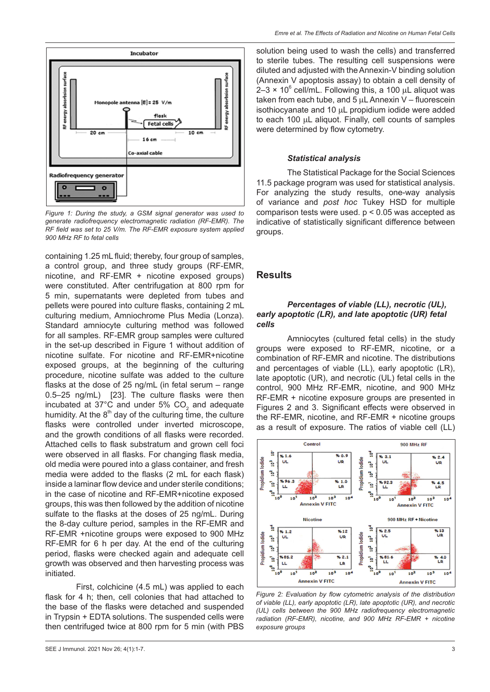

*Figure 1: During the study, a GSM signal generator was used to generate radiofrequency electromagnetic radiation (RF-EMR). The RF field was set to 25 V/m. The RF-EMR exposure system applied 900 MHz RF to fetal cells*

containing 1.25 mL fluid; thereby, four group of samples, a control group, and three study groups (RF-EMR, nicotine, and RF-EMR + nicotine exposed groups) were constituted. After centrifugation at 800 rpm for 5 min, supernatants were depleted from tubes and pellets were poured into culture flasks, containing 2 mL culturing medium, Amniochrome Plus Media (Lonza). Standard amniocyte culturing method was followed for all samples. RF-EMR group samples were cultured in the set-up described in Figure 1 without addition of nicotine sulfate. For nicotine and RF-EMR+nicotine exposed groups, at the beginning of the culturing procedure, nicotine sulfate was added to the culture flasks at the dose of 25 ng/mL (in fetal serum – range 0.5–25 ng/mL) [23]. The culture flasks were then incubated at 37 $^{\circ}$ C and under 5% CO<sub>2</sub> and adequate humidity. At the  $8<sup>th</sup>$  day of the culturing time, the culture flasks were controlled under inverted microscope, and the growth conditions of all flasks were recorded. Attached cells to flask substratum and grown cell foci were observed in all flasks. For changing flask media, old media were poured into a glass container, and fresh media were added to the flasks (2 mL for each flask) inside a laminar flow device and under sterile conditions; in the case of nicotine and RF-EMR+nicotine exposed groups, this was then followed by the addition of nicotine sulfate to the flasks at the doses of 25 ng/mL. During the 8-day culture period, samples in the RF-EMR and RF-EMR +nicotine groups were exposed to 900 MHz RF-EMR for 6 h per day. At the end of the culturing period, flasks were checked again and adequate cell growth was observed and then harvesting process was initiated.

First, colchicine (4.5 mL) was applied to each flask for 4 h; then, cell colonies that had attached to the base of the flasks were detached and suspended in Trypsin + EDTA solutions. The suspended cells were then centrifuged twice at 800 rpm for 5 min (with PBS

solution being used to wash the cells) and transferred to sterile tubes. The resulting cell suspensions were diluted and adjusted with the Annexin-V binding solution (Annexin V apoptosis assay) to obtain a cell density of  $2-3 \times 10^6$  cell/mL. Following this, a 100 µL aliquot was taken from each tube, and  $5 \mu L$  Annexin V – fluorescein isothiocyanate and 10 µL propidium iodide were added to each 100 µL aliquot. Finally, cell counts of samples were determined by flow cytometry.

#### *Statistical analysis*

The Statistical Package for the Social Sciences 11.5 package program was used for statistical analysis. For analyzing the study results, one-way analysis of variance and *post hoc* Tukey HSD for multiple comparison tests were used. p < 0.05 was accepted as indicative of statistically significant difference between groups.

#### **Results**

#### *Percentages of viable (LL), necrotic (UL), early apoptotic (LR), and late apoptotic (UR) fetal cells*

Amniocytes (cultured fetal cells) in the study groups were exposed to RF-EMR, nicotine, or a combination of RF-EMR and nicotine. The distributions and percentages of viable (LL), early apoptotic (LR), late apoptotic (UR), and necrotic (UL) fetal cells in the control, 900 MHz RF-EMR, nicotine, and 900 MHz RF-EMR + nicotine exposure groups are presented in Figures 2 and 3. Significant effects were observed in the RF-EMR, nicotine, and RF-EMR + nicotine groups as a result of exposure. The ratios of viable cell (LL)



*Figure 2: Evaluation by flow cytometric analysis of the distribution of viable (LL), early apoptotic (LR), late apoptotic (UR), and necrotic (UL) cells between the 900 MHz radiofrequency electromagnetic radiation (RF-EMR), nicotine, and 900 MHz RF-EMR + nicotine exposure groups*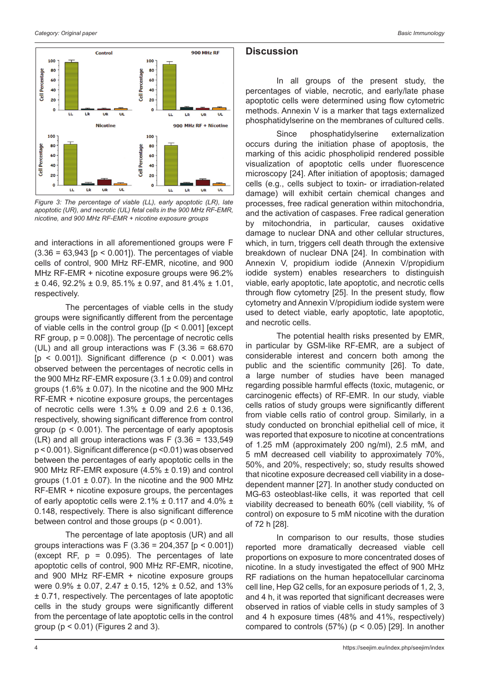

*Figure 3: The percentage of viable (LL), early apoptotic (LR), late apoptotic (UR), and necrotic (UL) fetal cells in the 900 MHz RF-EMR, nicotine, and 900 MHz RF-EMR + nicotine exposure groups*

and interactions in all aforementioned groups were F  $(3.36 = 63,943$  [ $p < 0.001$ ]). The percentages of viable cells of control, 900 MHz RF-EMR, nicotine, and 900 MHz RF-EMR + nicotine exposure groups were 96.2%  $\pm$  0.46, 92.2%  $\pm$  0.9, 85.1%  $\pm$  0.97, and 81.4%  $\pm$  1.01, respectively.

The percentages of viable cells in the study groups were significantly different from the percentage of viable cells in the control group ([p < 0.001] [except RF group, p = 0.008]). The percentage of necrotic cells (UL) and all group interactions was  $F(3.36 = 68.670)$ [ $p$  < 0.001]). Significant difference ( $p$  < 0.001) was observed between the percentages of necrotic cells in the 900 MHz RF-EMR exposure  $(3.1 \pm 0.09)$  and control groups (1.6%  $\pm$  0.07). In the nicotine and the 900 MHz RF-EMR + nicotine exposure groups, the percentages of necrotic cells were  $1.3\% \pm 0.09$  and  $2.6 \pm 0.136$ , respectively, showing significant difference from control group ( $p < 0.001$ ). The percentage of early apoptosis (LR) and all group interactions was  $F(3.36 = 133,549)$ p < 0.001). Significant difference (p <0.01) was observed between the percentages of early apoptotic cells in the 900 MHz RF-EMR exposure (4.5% ± 0.19) and control groups (1.01  $\pm$  0.07). In the nicotine and the 900 MHz RF-EMR + nicotine exposure groups, the percentages of early apoptotic cells were 2.1%  $\pm$  0.117 and 4.0%  $\pm$ 0.148, respectively. There is also significant difference between control and those groups (p < 0.001).

The percentage of late apoptosis (UR) and all groups interactions was F (3.36 = 204,357 [ $p < 0.001$ ]) (except RF,  $p = 0.095$ ). The percentages of late apoptotic cells of control, 900 MHz RF-EMR, nicotine, and 900 MHz RF-EMR + nicotine exposure groups were 0.9% ± 0.07, 2.47 ± 0.15, 12% ± 0.52, and 13% ± 0.71, respectively. The percentages of late apoptotic cells in the study groups were significantly different from the percentage of late apoptotic cells in the control group  $(p < 0.01)$  (Figures 2 and 3).

## **Discussion**

In all groups of the present study, the percentages of viable, necrotic, and early/late phase apoptotic cells were determined using flow cytometric methods. Annexin V is a marker that tags externalized phosphatidylserine on the membranes of cultured cells.

Since phosphatidylserine externalization occurs during the initiation phase of apoptosis, the marking of this acidic phospholipid rendered possible visualization of apoptotic cells under fluorescence microscopy [24]. After initiation of apoptosis; damaged cells (e.g., cells subject to toxin- or irradiation-related damage) will exhibit certain chemical changes and processes, free radical generation within mitochondria, and the activation of caspases. Free radical generation by mitochondria, in particular, causes oxidative damage to nuclear DNA and other cellular structures, which, in turn, triggers cell death through the extensive breakdown of nuclear DNA [24]. In combination with Annexin V, propidium iodide (Annexin V/propidium iodide system) enables researchers to distinguish viable, early apoptotic, late apoptotic, and necrotic cells through flow cytometry [25]. In the present study, flow cytometry and Annexin V/propidium iodide system were used to detect viable, early apoptotic, late apoptotic, and necrotic cells.

The potential health risks presented by EMR, in particular by GSM-like RF-EMR, are a subject of considerable interest and concern both among the public and the scientific community [26]. To date, a large number of studies have been managed regarding possible harmful effects (toxic, mutagenic, or carcinogenic effects) of RF-EMR. In our study, viable cells ratios of study groups were significantly different from viable cells ratio of control group. Similarly, in a study conducted on bronchial epithelial cell of mice, it was reported that exposure to nicotine at concentrations of 1.25 mM (approximately 200 ng/ml), 2.5 mM, and 5 mM decreased cell viability to approximately 70%, 50%, and 20%, respectively; so, study results showed that nicotine exposure decreased cell viability in a dosedependent manner [27]. In another study conducted on MG-63 osteoblast-like cells, it was reported that cell viability decreased to beneath 60% (cell viability, % of control) on exposure to 5 mM nicotine with the duration of 72 h [28].

In comparison to our results, those studies reported more dramatically decreased viable cell proportions on exposure to more concentrated doses of nicotine. In a study investigated the effect of 900 MHz RF radiations on the human hepatocellular carcinoma cell line, Hep G2 cells, for an exposure periods of 1, 2, 3, and 4 h, it was reported that significant decreases were observed in ratios of viable cells in study samples of 3 and 4 h exposure times (48% and 41%, respectively) compared to controls  $(57%)$  ( $p < 0.05$ ) [29]. In another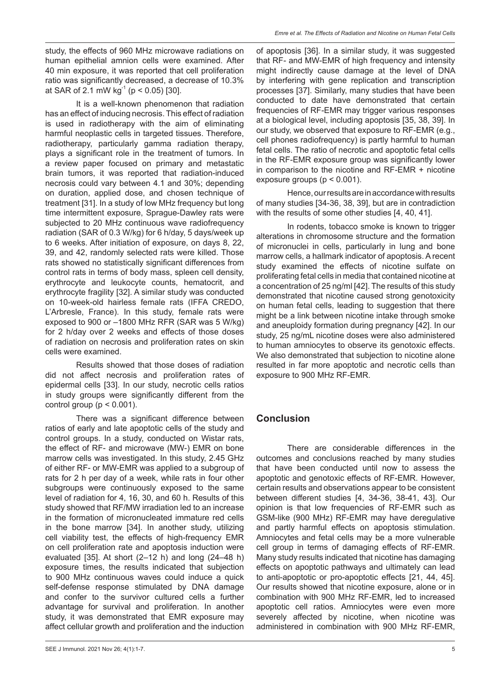study, the effects of 960 MHz microwave radiations on human epithelial amnion cells were examined. After 40 min exposure, it was reported that cell proliferation ratio was significantly decreased, a decrease of 10.3% at SAR of 2.1 mW kg<sup>-1</sup> ( $p$  < 0.05) [30].

It is a well-known phenomenon that radiation has an effect of inducing necrosis. This effect of radiation is used in radiotherapy with the aim of eliminating harmful neoplastic cells in targeted tissues. Therefore, radiotherapy, particularly gamma radiation therapy, plays a significant role in the treatment of tumors. In a review paper focused on primary and metastatic brain tumors, it was reported that radiation-induced necrosis could vary between 4.1 and 30%; depending on duration, applied dose, and chosen technique of treatment [31]. In a study of low MHz frequency but long time intermittent exposure, Sprague-Dawley rats were subjected to 20 MHz continuous wave radiofrequency radiation (SAR of 0.3 W/kg) for 6 h/day, 5 days/week up to 6 weeks. After initiation of exposure, on days 8, 22, 39, and 42, randomly selected rats were killed. Those rats showed no statistically significant differences from control rats in terms of body mass, spleen cell density, erythrocyte and leukocyte counts, hematocrit, and erythrocyte fragility [32]. A similar study was conducted on 10-week-old hairless female rats (IFFA CREDO, L'Arbresle, France). In this study, female rats were exposed to 900 or –1800 MHz RFR (SAR was 5 W/kg) for 2 h/day over 2 weeks and effects of those doses of radiation on necrosis and proliferation rates on skin cells were examined.

Results showed that those doses of radiation did not affect necrosis and proliferation rates of epidermal cells [33]. In our study, necrotic cells ratios in study groups were significantly different from the control group ( $p < 0.001$ ).

There was a significant difference between ratios of early and late apoptotic cells of the study and control groups. In a study, conducted on Wistar rats, the effect of RF- and microwave (MW-) EMR on bone marrow cells was investigated. In this study, 2.45 GHz of either RF- or MW-EMR was applied to a subgroup of rats for 2 h per day of a week, while rats in four other subgroups were continuously exposed to the same level of radiation for 4, 16, 30, and 60 h. Results of this study showed that RF/MW irradiation led to an increase in the formation of micronucleated immature red cells in the bone marrow [34]. In another study, utilizing cell viability test, the effects of high-frequency EMR on cell proliferation rate and apoptosis induction were evaluated [35]. At short (2–12 h) and long (24–48 h) exposure times, the results indicated that subjection to 900 MHz continuous waves could induce a quick self-defense response stimulated by DNA damage and confer to the survivor cultured cells a further advantage for survival and proliferation. In another study, it was demonstrated that EMR exposure may affect cellular growth and proliferation and the induction of apoptosis [36]. In a similar study, it was suggested that RF- and MW-EMR of high frequency and intensity might indirectly cause damage at the level of DNA by interfering with gene replication and transcription processes [37]. Similarly, many studies that have been conducted to date have demonstrated that certain frequencies of RF-EMR may trigger various responses at a biological level, including apoptosis [35, 38, 39]. In our study, we observed that exposure to RF-EMR (e.g., cell phones radiofrequency) is partly harmful to human fetal cells. The ratio of necrotic and apoptotic fetal cells in the RF-EMR exposure group was significantly lower in comparison to the nicotine and RF-EMR + nicotine exposure groups ( $p < 0.001$ ).

Hence, our results are in accordance with results of many studies [34-36, 38, 39], but are in contradiction with the results of some other studies [4, 40, 41].

In rodents, tobacco smoke is known to trigger alterations in chromosome structure and the formation of micronuclei in cells, particularly in lung and bone marrow cells, a hallmark indicator of apoptosis. A recent study examined the effects of nicotine sulfate on proliferating fetal cells in media that contained nicotine at a concentration of 25 ng/ml [42]. The results of this study demonstrated that nicotine caused strong genotoxicity on human fetal cells, leading to suggestion that there might be a link between nicotine intake through smoke and aneuploidy formation during pregnancy [42]. In our study, 25 ng/mL nicotine doses were also administered to human amniocytes to observe its genotoxic effects. We also demonstrated that subjection to nicotine alone resulted in far more apoptotic and necrotic cells than exposure to 900 MHz RF-EMR.

## **Conclusion**

There are considerable differences in the outcomes and conclusions reached by many studies that have been conducted until now to assess the apoptotic and genotoxic effects of RF-EMR. However, certain results and observations appear to be consistent between different studies [4, 34-36, 38-41, 43]. Our opinion is that low frequencies of RF-EMR such as GSM-like (900 MHz) RF-EMR may have deregulative and partly harmful effects on apoptosis stimulation. Amniocytes and fetal cells may be a more vulnerable cell group in terms of damaging effects of RF-EMR. Many study results indicated that nicotine has damaging effects on apoptotic pathways and ultimately can lead to anti-apoptotic or pro-apoptotic effects [21, 44, 45]. Our results showed that nicotine exposure, alone or in combination with 900 MHz RF-EMR, led to increased apoptotic cell ratios. Amniocytes were even more severely affected by nicotine, when nicotine was administered in combination with 900 MHz RF-EMR,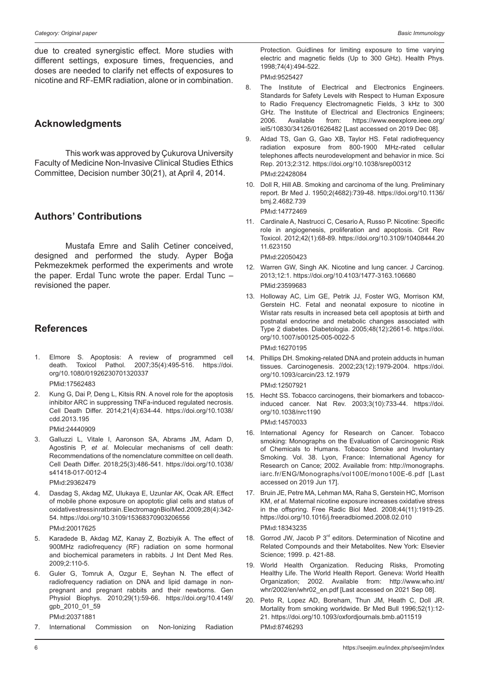due to created synergistic effect. More studies with different settings, exposure times, frequencies, and doses are needed to clarify net effects of exposures to nicotine and RF-EMR radiation, alone or in combination.

## **Acknowledgments**

This work was approved by Çukurova University Faculty of Medicine Non-Invasive Clinical Studies Ethics Committee, Decision number 30(21), at April 4, 2014.

## **Authors' Contributions**

Mustafa Emre and Salih Cetiner conceived, designed and performed the study. Ayper Boğa Pekmezekmek performed the experiments and wrote the paper. Erdal Tunc wrote the paper. Erdal Tunc – revisioned the paper.

## **References**

1. Elmore S. Apoptosis: A review of programmed cell death. Toxicol Pathol. 2007;35(4):495-516. https://doi. org/10.1080/01926230701320337

PMid:17562483

- 2. Kung G, Dai P, Deng L, Kitsis RN. A novel role for the apoptosis inhibitor ARC in suppressing TNFa-induced regulated necrosis. Cell Death Differ. 2014;21(4):634-44. https://doi.org/10.1038/ cdd.2013.195 PMid:24440909
- 3. Galluzzi L, Vitale I, Aaronson SA, Abrams JM, Adam D, Agostinis P, *et al*. Molecular mechanisms of cell death: Recommendations of the nomenclature committee on cell death. Cell Death Differ. 2018;25(3):486-541. https://doi.org/10.1038/ s41418-017-0012-4 PMıd:29362479
- 4. Dasdag S, Akdag MZ, Ulukaya E, Uzunlar AK, Ocak AR. Effect of mobile phone exposure on apoptotic glial cells and status of oxidative stress in rat brain. Electromagn Biol Med. 2009; 28(4): 342-54. https://doi.org/10.3109/15368370903206556 PMıd:20017625
- 5. Karadede B, Akdag MZ, Kanay Z, Bozbiyik A. The effect of 900MHz radiofrequency (RF) radiation on some hormonal and biochemical parameters in rabbits. J Int Dent Med Res. 2009;2:110-5.
- 6. Guler G, Tomruk A, Ozgur E, Seyhan N. The effect of radiofrequency radiation on DNA and lipid damage in nonpregnant and pregnant rabbits and their newborns. Gen Physiol Biophys. 2010;29(1):59-66. https://doi.org/10.4149/ gpb\_2010\_01\_59 PMıd:20371881
- 7. International Commission on Non-Ionizing Radiation

Protection. Guidlines for limiting exposure to time varying electric and magnetic fields (Up to 300 GHz). Health Phys. 1998;74(4):494-522.

PMıd:9525427

- 8. The Institute of Electrical and Electronics Engineers. Standards for Safety Levels with Respect to Human Exposure to Radio Frequency Electromagnetic Fields, 3 kHz to 300 GHz. The Institute of Electrical and Electronics Engineers;<br>2006 Available from: https://www.eeexplore.jeee.org/ Available from: https://www.eeexplore.ieee.org/ iel5/10830/34126/01626482 [Last accessed on 2019 Dec 08].
- 9. Aldad TS, Gan G, Gao XB, Taylor HS. Fetal radiofrequency radiation exposure from 800-1900 MHz-rated cellular telephones affects neurodevelopment and behavior in mice. Sci Rep. 2013;2:312. https://doi.org/10.1038/srep00312 PMıd:22428084
- 10. Doll R, Hill AB. Smoking and carcinoma of the lung. Preliminary report. Br Med J. 1950;2(4682):739-48. https://doi.org/10.1136/ bmj.2.4682.739

PMıd:14772469

11. Cardinale A, Nastrucci C, Cesario A, Russo P. Nicotine: Specific role in angiogenesis, proliferation and apoptosis. Crit Rev Toxicol. 2012;42(1):68-89. https://doi.org/10.3109/10408444.20 11.623150

PMıd:22050423

- 12. Warren GW, Singh AK. Nicotine and lung cancer. J Carcinog. 2013;12:1. https://doi.org/10.4103/1477-3163.106680 PMid:23599683
- 13. Holloway AC, Lim GE, Petrik JJ, Foster WG, Morrison KM, Gerstein HC. Fetal and neonatal exposure to nicotine in Wistar rats results in increased beta cell apoptosis at birth and postnatal endocrine and metabolic changes associated with Type 2 diabetes. Diabetologia. 2005;48(12):2661-6. https://doi. org/10.1007/s00125-005-0022-5 PMıd:16270195
- 14. Phillips DH. Smoking-related DNA and protein adducts in human tissues. Carcinogenesis. 2002;23(12):1979-2004. https://doi. org/10.1093/carcin/23.12.1979

PMıd:12507921

- 15. Hecht SS. Tobacco carcinogens, their biomarkers and tobaccoinduced cancer. Nat Rev. 2003;3(10):733-44. https://doi. org/10.1038/nrc1190 PMıd:14570033
- 16. International Agency for Research on Cancer. Tobacco smoking: Monographs on the Evaluation of Carcinogenic Risk of Chemicals to Humans. Tobacco Smoke and Involuntary Smoking. Vol. 38. Lyon, France: International Agency for Research on Cance; 2002. Available from: http://monographs. iarc.fr/ENG/Monographs/vol100E/mono100E-6.pdf [Last accessed on 2019 Jun 17].
- 17. Bruin JE, Petre MA, Lehman MA, Raha S, Gerstein HC, Morrison KM, *et al*. Maternal nicotine exposure increases oxidative stress in the offspring. Free Radic Biol Med. 2008;44(11):1919-25. https://doi.org/10.1016/j.freeradbiomed.2008.02.010 PMıd:18343235
- 18. Gorrod JW, Jacob P  $3<sup>rd</sup>$  editors. Determination of Nicotine and Related Compounds and their Metabolites. New York: Elsevier Science; 1999. p. 421-88.
- 19. World Health Organization. Reducing Risks, Promoting Healthy Life. The World Health Report. Geneva: World Health Organization; 2002. Available from: http://www.who.int/ whr/2002/en/whr02\_en.pdf [Last accessed on 2021 Sep 08].
- 20. Peto R, Lopez AD, Boreham, Thun JM, Heath C, Doll JR. Mortality from smoking worldwide. Br Med Bull 1996;52(1):12- 21. https://doi.org/10.1093/oxfordjournals.bmb.a011519 PMıd:8746293